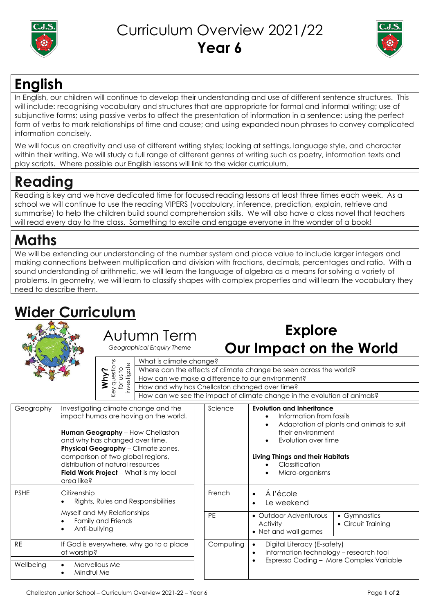

#### Curriculum Overview 2021/22 **Year 6**



## **English**

In English, our children will continue to develop their understanding and use of different sentence structures. This will include: recognising vocabulary and structures that are appropriate for formal and informal writing; use of subjunctive forms; using passive verbs to affect the presentation of information in a sentence; using the perfect form of verbs to mark relationships of time and cause; and using expanded noun phrases to convey complicated information concisely.

We will focus on creativity and use of different writing styles; looking at settings, language style, and character within their writing. We will study a full range of different genres of writing such as poetry, information texts and play scripts. Where possible our English lessons will link to the wider curriculum.

# **Reading**

Reading is key and we have dedicated time for focused reading lessons at least three times each week. As a school we will continue to use the reading VIPERS (vocabulary, inference, prediction, explain, retrieve and summarise) to help the children build sound comprehension skills. We will also have a class novel that teachers will read every day to the class. Something to excite and engage everyone in the wonder of a book!

# **Maths**

We will be extending our understanding of the number system and place value to include larger integers and making connections between multiplication and division with fractions, decimals, percentages and ratio. With a sound understanding of arithmetic, we will learn the language of algebra as a means for solving a variety of problems. In geometry, we will learn to classify shapes with complex properties and will learn the vocabulary they need to describe them.

# **Wider Curriculum**



#### Autumn Term

*Geographical Enquiry Theme*



What is climate change? Where can the effects of climate change be seen across the world? How can we make a difference to our environment? How and why has Chellaston changed over time? How can we see the impact of climate change in the evolution of animals?

**Explore**

**Our Impact on the World**

| Geography   | Investigating climate change and the<br>impact humas are having on the world.<br><b>Human Geography</b> – How Chellaston<br>and why has changed over time.<br>Physical Geography - Climate zones,<br>comparison of two global regions,<br>distribution of natural resources<br>Field Work Project - What is my local<br>area like? | Science   | <b>Evolution and Inheritance</b><br>Information from fossils<br>$\bullet$<br>Adaptation of plants and animals to suit<br>$\bullet$<br>their environment<br>Evolution over time<br>$\bullet$<br>Living Things and their Habitats<br>Classification<br>Micro-organisms<br>٠ |
|-------------|------------------------------------------------------------------------------------------------------------------------------------------------------------------------------------------------------------------------------------------------------------------------------------------------------------------------------------|-----------|---------------------------------------------------------------------------------------------------------------------------------------------------------------------------------------------------------------------------------------------------------------------------|
| <b>PSHE</b> | Citizenship<br>Rights, Rules and Responsibilities                                                                                                                                                                                                                                                                                  | French    | Á l'école<br>$\bullet$<br>Le weekend                                                                                                                                                                                                                                      |
|             | Myself and My Relationships<br>Family and Friends<br>Anti-bullying<br>$\bullet$                                                                                                                                                                                                                                                    | <b>PE</b> | • Outdoor Adventurous<br>• Gymnastics<br>• Circuit Training<br><b>Activity</b><br>• Net and wall games                                                                                                                                                                    |
| <b>RE</b>   | If God is everywhere, why go to a place<br>of worship?                                                                                                                                                                                                                                                                             | Computing | Digital Literacy (E-safety)<br>$\bullet$<br>Information technology - research tool<br>$\bullet$<br>Espresso Coding - More Complex Variable                                                                                                                                |
| Wellbeing   | Marvellous Me<br>$\bullet$<br>Mindful Me<br>$\bullet$                                                                                                                                                                                                                                                                              |           |                                                                                                                                                                                                                                                                           |